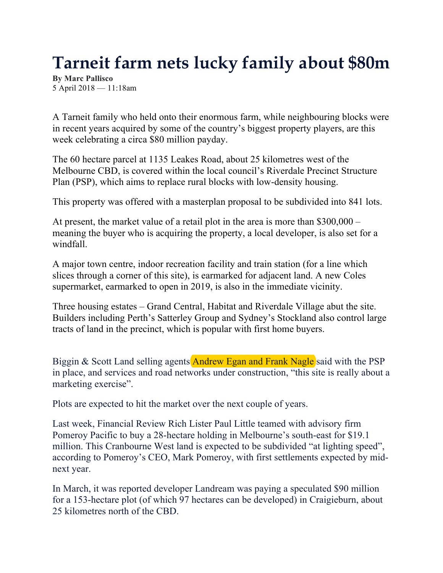# **Tarneit farm nets lucky family about \$80m**

**By Marc Pallisco** 5 April 2018 — 11:18am

A Tarneit family who held onto their enormous farm, while neighbouring blocks were in recent years acquired by some of the country's biggest property players, are this week celebrating a circa \$80 million payday.

The 60 hectare parcel at 1135 Leakes Road, about 25 kilometres west of the Melbourne CBD, is covered within the local council's Riverdale Precinct Structure Plan (PSP), which aims to replace rural blocks with low-density housing.

This property was offered with a masterplan proposal to be subdivided into 841 lots.

At present, the market value of a retail plot in the area is more than \$300,000 – meaning the buyer who is acquiring the property, a local developer, is also set for a windfall.

A major town centre, indoor recreation facility and train station (for a line which slices through a corner of this site), is earmarked for adjacent land. A new Coles supermarket, earmarked to open in 2019, is also in the immediate vicinity.

Three housing estates – Grand Central, Habitat and Riverdale Village abut the site. Builders including Perth's Satterley Group and Sydney's Stockland also control large tracts of land in the precinct, which is popular with first home buyers.

Biggin & Scott Land selling agents **Andrew Egan and Frank Nagle** said with the PSP in place, and services and road networks under construction, "this site is really about a marketing exercise".

Plots are expected to hit the market over the next couple of years.

Last week, Financial Review Rich Lister Paul Little teamed with advisory firm Pomeroy Pacific to buy a 28-hectare holding in Melbourne's south-east for \$19.1 million. This Cranbourne West land is expected to be subdivided "at lighting speed", according to Pomeroy's CEO, Mark Pomeroy, with first settlements expected by midnext year.

In March, it was reported developer Landream was paying a speculated \$90 million for a 153-hectare plot (of which 97 hectares can be developed) in Craigieburn, about 25 kilometres north of the CBD.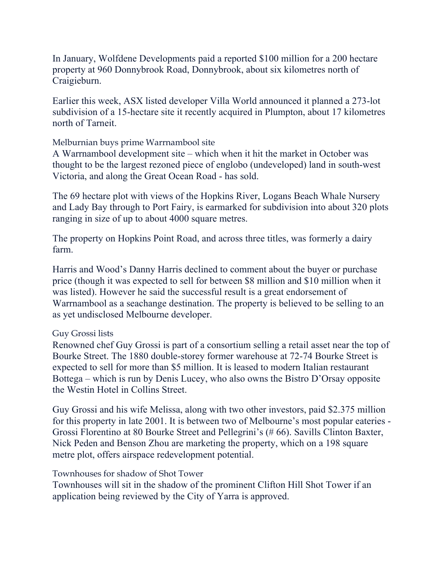In January, Wolfdene Developments paid a reported \$100 million for a 200 hectare property at 960 Donnybrook Road, Donnybrook, about six kilometres north of Craigieburn.

Earlier this week, ASX listed developer Villa World announced it planned a 273-lot subdivision of a 15-hectare site it recently acquired in Plumpton, about 17 kilometres north of Tarneit.

#### Melburnian buys prime Warrnambool site

A Warrnambool development site – which when it hit the market in October was thought to be the largest rezoned piece of englobo (undeveloped) land in south-west Victoria, and along the Great Ocean Road - has sold.

The 69 hectare plot with views of the Hopkins River, Logans Beach Whale Nursery and Lady Bay through to Port Fairy, is earmarked for subdivision into about 320 plots ranging in size of up to about 4000 square metres.

The property on Hopkins Point Road, and across three titles, was formerly a dairy farm.

Harris and Wood's Danny Harris declined to comment about the buyer or purchase price (though it was expected to sell for between \$8 million and \$10 million when it was listed). However he said the successful result is a great endorsement of Warrnambool as a seachange destination. The property is believed to be selling to an as yet undisclosed Melbourne developer.

### Guy Grossi lists

Renowned chef Guy Grossi is part of a consortium selling a retail asset near the top of Bourke Street. The 1880 double-storey former warehouse at 72-74 Bourke Street is expected to sell for more than \$5 million. It is leased to modern Italian restaurant Bottega – which is run by Denis Lucey, who also owns the Bistro D'Orsay opposite the Westin Hotel in Collins Street.

Guy Grossi and his wife Melissa, along with two other investors, paid \$2.375 million for this property in late 2001. It is between two of Melbourne's most popular eateries - Grossi Florentino at 80 Bourke Street and Pellegrini's (# 66). Savills Clinton Baxter, Nick Peden and Benson Zhou are marketing the property, which on a 198 square metre plot, offers airspace redevelopment potential.

### Townhouses for shadow of Shot Tower

Townhouses will sit in the shadow of the prominent Clifton Hill Shot Tower if an application being reviewed by the City of Yarra is approved.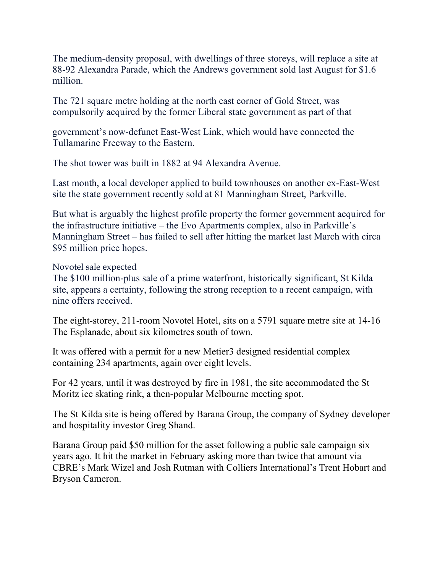The medium-density proposal, with dwellings of three storeys, will replace a site at 88-92 Alexandra Parade, which the Andrews government sold last August for \$1.6 million.

The 721 square metre holding at the north east corner of Gold Street, was compulsorily acquired by the former Liberal state government as part of that

government's now-defunct East-West Link, which would have connected the Tullamarine Freeway to the Eastern.

The shot tower was built in 1882 at 94 Alexandra Avenue.

Last month, a local developer applied to build townhouses on another ex-East-West site the state government recently sold at 81 Manningham Street, Parkville.

But what is arguably the highest profile property the former government acquired for the infrastructure initiative – the Evo Apartments complex, also in Parkville's Manningham Street – has failed to sell after hitting the market last March with circa \$95 million price hopes.

Novotel sale expected

The \$100 million-plus sale of a prime waterfront, historically significant, St Kilda site, appears a certainty, following the strong reception to a recent campaign, with nine offers received.

The eight-storey, 211-room Novotel Hotel, sits on a 5791 square metre site at 14-16 The Esplanade, about six kilometres south of town.

It was offered with a permit for a new Metier3 designed residential complex containing 234 apartments, again over eight levels.

For 42 years, until it was destroyed by fire in 1981, the site accommodated the St Moritz ice skating rink, a then-popular Melbourne meeting spot.

The St Kilda site is being offered by Barana Group, the company of Sydney developer and hospitality investor Greg Shand.

Barana Group paid \$50 million for the asset following a public sale campaign six years ago. It hit the market in February asking more than twice that amount via CBRE's Mark Wizel and Josh Rutman with Colliers International's Trent Hobart and Bryson Cameron.